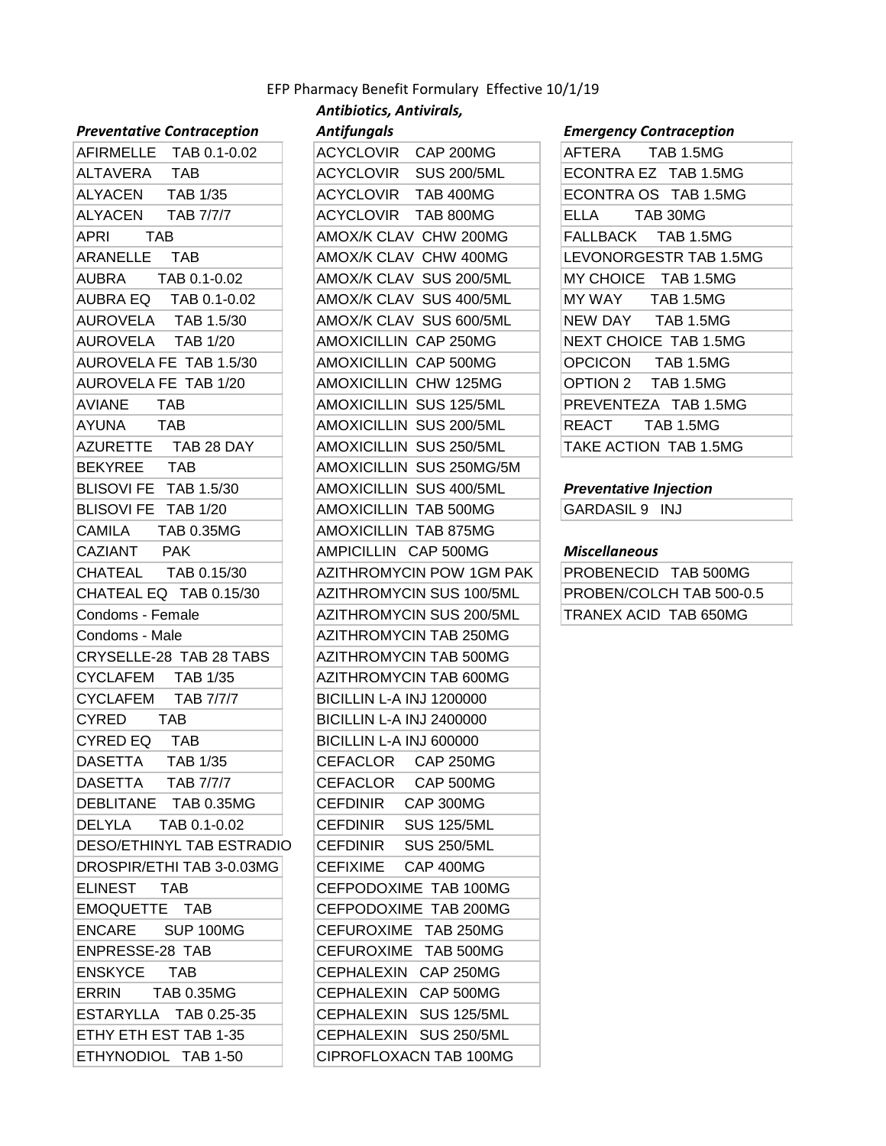## *Antibiotics, Antivirals,*  EFP Pharmacy Benefit Formulary Effective 10/1/19

#### *Preventative Contraception*

| AFIRMELLE TAB 0.1-0.02           | ACYCLOVIR CAP 200MG             |
|----------------------------------|---------------------------------|
| ALTAVERA TAB                     | ACYCLOVIR SUS 200/5ML           |
| ALYACEN TAB 1/35                 | ACYCLOVIR TAB 400MG             |
| ALYACEN TAB 7/7/7                | ACYCLOVIR TAB 800MG             |
| APRI TAB                         | AMOX/K CLAV CHW 200MG           |
| ARANELLE TAB                     | AMOX/K CLAV CHW 400MG           |
| AUBRA TAB 0.1-0.02               | AMOX/K CLAV SUS 200/5ML         |
| AUBRA EQ TAB 0.1-0.02            | AMOX/K CLAV SUS 400/5ML         |
| AUROVELA TAB 1.5/30              | AMOX/K CLAV SUS 600/5ML         |
| AUROVELA TAB 1/20                | AMOXICILLIN CAP 250MG           |
| AUROVELA FE TAB 1.5/30           | AMOXICILLIN CAP 500MG           |
| AUROVELA FE TAB 1/20             | AMOXICILLIN CHW 125MG           |
| AVIANE TAB                       | AMOXICILLIN SUS 125/5ML         |
| AYUNA TAB                        | AMOXICILLIN SUS 200/5ML         |
| AZURETTE TAB 28 DAY              | AMOXICILLIN SUS 250/5ML         |
| BEKYREE TAB                      | AMOXICILLIN SUS 250MG/5M        |
| BLISOVI FE TAB 1.5/30            | AMOXICILLIN SUS 400/5ML         |
| BLISOVI FE TAB 1/20              | AMOXICILLIN TAB 500MG           |
| CAMILA TAB 0.35MG                | AMOXICILLIN TAB 875MG           |
| CAZIANT PAK                      | AMPICILLIN CAP 500MG            |
| CHATEAL TAB 0.15/30              | AZITHROMYCIN POW 1GM PA         |
| CHATEAL EQ TAB 0.15/30           | AZITHROMYCIN SUS 100/5ML        |
| Condoms - Female                 | AZITHROMYCIN SUS 200/5ML        |
| Condoms - Male                   | AZITHROMYCIN TAB 250MG          |
| CRYSELLE-28 TAB 28 TABS          | AZITHROMYCIN TAB 500MG          |
| CYCLAFEM TAB 1/35                | AZITHROMYCIN TAB 600MG          |
| CYCLAFEM TAB 7/7/7               | <b>BICILLIN L-A INJ 1200000</b> |
| CYRED TAB                        | <b>BICILLIN L-A INJ 2400000</b> |
| CYRED EQ TAB                     | BICILLIN L-A INJ 600000         |
| DASETTA TAB 1/35                 | CEFACLOR CAP 250MG              |
| DASETTA TAB 7/7/7                | CEFACLOR CAP 500MG              |
| DEBLITANE TAB 0.35MG             | CEFDINIR CAP 300MG              |
| DELYLA TAB 0.1-0.02              | CEFDINIR SUS 125/5ML            |
| <b>DESO/ETHINYL TAB ESTRADIO</b> | CEFDINIR<br><b>SUS 250/5ML</b>  |
| DROSPIR/ETHI TAB 3-0.03MG        | CEFIXIME CAP 400MG              |
| ELINEST TAB                      | CEFPODOXIME TAB 100MG           |
| EMOQUETTE TAB                    | CEFPODOXIME TAB 200MG           |
| ENCARE<br>SUP 100MG              | CEFUROXIME TAB 250MG            |
| ENPRESSE-28 TAB                  | CEFUROXIME TAB 500MG            |
| ENSKYCE TAB                      | CEPHALEXIN CAP 250MG            |
| ERRIN<br>TAB 0.35MG              | CEPHALEXIN CAP 500MG            |
| ESTARYLLA TAB 0.25-35            | CEPHALEXIN SUS 125/5ML          |
| ETHY ETH EST TAB 1-35            | CEPHALEXIN SUS 250/5ML          |
| ETHYNODIOL TAB 1-50              | CIPROFLOXACN TAB 100MG          |

| r reventutive contruception       | Antijunguis                           | Lincigency contraception           |
|-----------------------------------|---------------------------------------|------------------------------------|
| AFIRMELLE TAB 0.1-0.02            | ACYCLOVIR CAP 200MG                   | AFTERA<br><b>TAB 1.5MG</b>         |
| ALTAVERA<br><b>TAB</b>            | ACYCLOVIR SUS 200/5ML                 | ECONTRA EZ TAB 1.5MG               |
| ALYACEN TAB 1/35                  | ACYCLOVIR TAB 400MG                   | ECONTRA OS TAB 1.5MG               |
| ALYACEN<br><b>TAB 7/7/7</b>       | ACYCLOVIR TAB 800MG                   | <b>ELLA</b><br>TAB 30MG            |
| <b>TAB</b><br>APRI                | AMOX/K CLAV CHW 200MG                 | FALLBACK TAB 1.5MG                 |
| ARANELLE<br>TAB                   | AMOX/K CLAV CHW 400MG                 | LEVONORGESTR TAB 1.5MG             |
| AUBRA<br>TAB 0.1-0.02             | AMOX/K CLAV SUS 200/5ML               | MY CHOICE TAB 1.5MG                |
| AUBRA EQ TAB 0.1-0.02             | AMOX/K CLAV SUS 400/5ML               | MY WAY TAB 1.5MG                   |
| AUROVELA TAB 1.5/30               | AMOX/K CLAV SUS 600/5ML               | NEW DAY<br>TAB 1.5MG               |
| AUROVELA TAB 1/20                 | AMOXICILLIN CAP 250MG                 | NEXT CHOICE TAB 1.5MG              |
| AUROVELA FE TAB 1.5/30            | AMOXICILLIN CAP 500MG                 | <b>OPCICON</b><br><b>TAB 1.5MG</b> |
| AUROVELA FE TAB 1/20              | AMOXICILLIN CHW 125MG                 | OPTION 2 TAB 1.5MG                 |
| AVIANE<br>TAB                     | AMOXICILLIN SUS 125/5ML               | PREVENTEZA TAB 1.5MG               |
| AYUNA<br><b>TAB</b>               | AMOXICILLIN SUS 200/5ML               | <b>TAB 1.5MG</b><br>REACT          |
| AZURETTE TAB 28 DAY               | AMOXICILLIN SUS 250/5ML               | TAKE ACTION TAB 1.5MG              |
| <b>BEKYREE</b><br><b>TAB</b>      | AMOXICILLIN SUS 250MG/5M              |                                    |
| BLISOVI FE TAB 1.5/30             | AMOXICILLIN SUS 400/5ML               | <b>Preventative Injection</b>      |
| BLISOVI FE TAB 1/20               | AMOXICILLIN TAB 500MG                 | GARDASIL 9 INJ                     |
| CAMILA TAB 0.35MG                 | AMOXICILLIN TAB 875MG                 |                                    |
| CAZIANT<br><b>PAK</b>             | AMPICILLIN CAP 500MG                  | <b>Miscellaneous</b>               |
| CHATEAL TAB 0.15/30               | AZITHROMYCIN POW 1GM PAK              | PROBENECID TAB 500MG               |
| CHATEAL EQ TAB 0.15/30            | AZITHROMYCIN SUS 100/5ML              | PROBEN/COLCH TAB 500-0.5           |
| Condoms - Female                  | AZITHROMYCIN SUS 200/5ML              | TRANEX ACID TAB 650MG              |
| Condoms - Male                    | <b>AZITHROMYCIN TAB 250MG</b>         |                                    |
| CRYSELLE-28 TAB 28 TABS           | AZITHROMYCIN TAB 500MG                |                                    |
| CYCLAFEM TAB 1/35                 | <b>AZITHROMYCIN TAB 600MG</b>         |                                    |
| CYCLAFEM<br>TAB 7/7/7             | <b>BICILLIN L-A INJ 1200000</b>       |                                    |
| CYRED<br><b>TAB</b>               | <b>BICILLIN L-A INJ 2400000</b>       |                                    |
| CYRED EQ<br><b>TAB</b>            | BICILLIN L-A INJ 600000               |                                    |
| <b>DASETTA</b><br><b>TAB 1/35</b> | <b>CEFACLOR</b><br><b>CAP 250MG</b>   |                                    |
| DASETTA TAB 7/7/7                 | CEFACLOR CAP 500MG                    |                                    |
| DEBLITANE TAB 0.35MG              | CEFDINIR<br>CAP 300MG                 |                                    |
| DELYLA<br>TAB 0.1-0.02            | CEFDINIR<br><b>SUS 125/5ML</b>        |                                    |
| <b>DESO/ETHINYL TAB ESTRADIO</b>  | <b>CEFDINIR</b><br><b>SUS 250/5ML</b> |                                    |
| DROSPIR/ETHI TAB 3-0.03MG         | CEFIXIME<br>CAP 400MG                 |                                    |
| ELINEST<br><b>TAB</b>             | CEFPODOXIME TAB 100MG                 |                                    |
| EMOQUETTE TAB                     | CEFPODOXIME TAB 200MG                 |                                    |
| ENCARE<br>SUP 100MG               | CEFUROXIME TAB 250MG                  |                                    |
| ENPRESSE-28 TAB                   | CEFUROXIME TAB 500MG                  |                                    |
| <b>ENSKYCE</b><br><b>TAB</b>      | CEPHALEXIN CAP 250MG                  |                                    |
| ERRIN<br><b>TAB 0.35MG</b>        | CEPHALEXIN CAP 500MG                  |                                    |
| ESTARYLLA TAB 0.25-35             | CEPHALEXIN SUS 125/5ML                |                                    |
| ETHY ETH EST TAB 1-35             | CEPHALEXIN SUS 250/5ML                |                                    |
| ETHYNODIOL TAB 1-50               | CIPROFLOXACN TAB 100MG                |                                    |
|                                   |                                       |                                    |

### *Antifungals Emergency Contraception*

| AFTERA TAB 1.5MG       |
|------------------------|
| ECONTRA EZ TAB 1.5MG   |
| ECONTRA OS TAB 1.5MG   |
| ELLA TAB 30MG          |
| FALLBACK TAB 1.5MG     |
| LEVONORGESTR TAB 1.5MG |
| MY CHOICE TAB 1.5MG    |
| MY WAY TAB 1.5MG       |
| NEW DAY TAB 1.5MG      |
| NEXT CHOICE TAB 1.5MG  |
| OPCICON TAB 1.5MG      |
| OPTION 2 TAB 1.5MG     |
| PREVENTEZA TAB 1.5MG   |
| REACT TAB 1.5MG        |
| TAKE ACTION TAB 1.5MG  |

# **Preventative Injection**

#### **Miscellaneous**

PROBENECID TAB 500MG PROBEN/COLCH TAB 500-0.5 TRANEX ACID TAB 650MG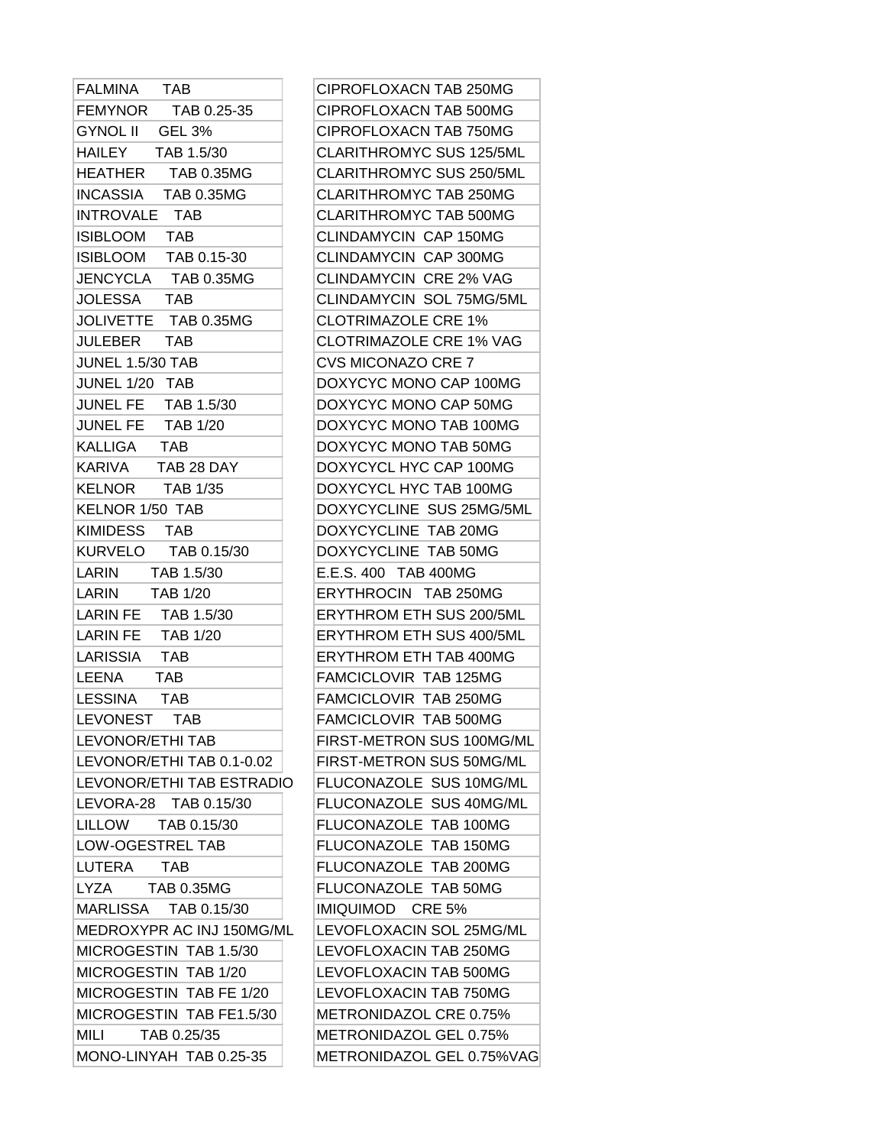| <b>FALMINA</b><br><b>TAB</b> | CIPROFLOXACN TAB 250MG          |
|------------------------------|---------------------------------|
| FEMYNOR TAB 0.25-35          | CIPROFLOXACN TAB 500MG          |
| GYNOL II GEL 3%              | CIPROFLOXACN TAB 750MG          |
| HAILEY TAB 1.5/30            | <b>CLARITHROMYC SUS 125/5ML</b> |
| HEATHER TAB 0.35MG           | <b>CLARITHROMYC SUS 250/5ML</b> |
| INCASSIA TAB 0.35MG          | <b>CLARITHROMYC TAB 250MG</b>   |
| INTROVALE TAB                | <b>CLARITHROMYC TAB 500MG</b>   |
| ISIBLOOM TAB                 | <b>CLINDAMYCIN CAP 150MG</b>    |
| ISIBLOOM TAB 0.15-30         | <b>CLINDAMYCIN CAP 300MG</b>    |
| JENCYCLA TAB 0.35MG          | <b>CLINDAMYCIN CRE 2% VAG</b>   |
| JOLESSA TAB                  | <b>CLINDAMYCIN SOL 75MG/5ML</b> |
| JOLIVETTE TAB 0.35MG         | <b>CLOTRIMAZOLE CRE 1%</b>      |
| JULEBER<br><b>TAB</b>        | <b>CLOTRIMAZOLE CRE 1% VAG</b>  |
| <b>JUNEL 1.5/30 TAB</b>      | <b>CVS MICONAZO CRE 7</b>       |
| JUNEL 1/20 TAB               | DOXYCYC MONO CAP 100MG          |
| JUNEL FE TAB 1.5/30          | DOXYCYC MONO CAP 50MG           |
| JUNEL FE TAB 1/20            | DOXYCYC MONO TAB 100MG          |
| KALLIGA TAB                  | DOXYCYC MONO TAB 50MG           |
| KARIVA TAB 28 DAY            | DOXYCYCL HYC CAP 100MG          |
| KELNOR TAB 1/35              | DOXYCYCL HYC TAB 100MG          |
| <b>KELNOR 1/50 TAB</b>       | DOXYCYCLINE SUS 25MG/5MI        |
| KIMIDESS TAB                 | DOXYCYCLINE TAB 20MG            |
| KURVELO TAB 0.15/30          | DOXYCYCLINE TAB 50MG            |
| LARIN<br>TAB 1.5/30          | E.E.S. 400 TAB 400MG            |
| LARIN<br><b>TAB 1/20</b>     | <b>ERYTHROCIN TAB 250MG</b>     |
| LARIN FE TAB 1.5/30          | ERYTHROM ETH SUS 200/5ML        |
| LARIN FE TAB 1/20            | ERYTHROM ETH SUS 400/5ML        |
| LARISSIA<br><b>TAB</b>       | ERYTHROM ETH TAB 400MG          |
| LEENA<br><b>TAB</b>          | FAMCICLOVIR TAB 125MG           |
| LESSINA TAB                  | FAMCICLOVIR TAB 250MG           |
| LEVONEST TAB                 | FAMCICLOVIR TAB 500MG           |
| <b>LEVONOR/ETHI TAB</b>      | FIRST-METRON SUS 100MG/M        |
| LEVONOR/ETHI TAB 0.1-0.02    | FIRST-METRON SUS 50MG/ML        |
| LEVONOR/ETHI TAB ESTRADIO    | FLUCONAZOLE SUS 10MG/ML         |
| LEVORA-28 TAB 0.15/30        | FLUCONAZOLE SUS 40MG/ML         |
| LILLOW<br>TAB 0.15/30        | FLUCONAZOLE TAB 100MG           |
| LOW-OGESTREL TAB             | FLUCONAZOLE TAB 150MG           |
| LUTERA<br><b>TAB</b>         | FLUCONAZOLE TAB 200MG           |
| LYZA TAB 0.35MG              | FLUCONAZOLE TAB 50MG            |
| MARLISSA TAB 0.15/30         | IMIQUIMOD CRE 5%                |
| MEDROXYPR AC INJ 150MG/ML    | LEVOFLOXACIN SOL 25MG/ML        |
| MICROGESTIN TAB 1.5/30       | LEVOFLOXACIN TAB 250MG          |
| MICROGESTIN TAB 1/20         | LEVOFLOXACIN TAB 500MG          |
| MICROGESTIN TAB FE 1/20      | LEVOFLOXACIN TAB 750MG          |
| MICROGESTIN TAB FE1.5/30     | METRONIDAZOL CRE 0.75%          |
| MILI<br>TAB 0.25/35          | METRONIDAZOL GEL 0.75%          |
| MONO-LINYAH TAB 0.25-35      | METRONIDAZOL GEL 0.75%VA        |

| FALMINA TAB               | CIPROFLOXACN TAB 250MG          |
|---------------------------|---------------------------------|
| FEMYNOR TAB 0.25-35       | CIPROFLOXACN TAB 500MG          |
| GYNOL II GEL 3%           | CIPROFLOXACN TAB 750MG          |
| HAILEY TAB 1.5/30         | <b>CLARITHROMYC SUS 125/5ML</b> |
| HEATHER TAB 0.35MG        | CLARITHROMYC SUS 250/5ML        |
| INCASSIA TAB 0.35MG       | <b>CLARITHROMYC TAB 250MG</b>   |
| INTROVALE TAB             | <b>CLARITHROMYC TAB 500MG</b>   |
| ISIBLOOM TAB              | <b>CLINDAMYCIN CAP 150MG</b>    |
| ISIBLOOM TAB 0.15-30      | <b>CLINDAMYCIN CAP 300MG</b>    |
| JENCYCLA TAB 0.35MG       | CLINDAMYCIN CRE 2% VAG          |
| JOLESSA TAB               | <b>CLINDAMYCIN SOL 75MG/5ML</b> |
| JOLIVETTE TAB 0.35MG      | <b>CLOTRIMAZOLE CRE 1%</b>      |
| JULEBER<br>TAB            | <b>CLOTRIMAZOLE CRE 1% VAG</b>  |
| <b>JUNEL 1.5/30 TAB</b>   | <b>CVS MICONAZO CRE 7</b>       |
| JUNEL 1/20 TAB            | DOXYCYC MONO CAP 100MG          |
| JUNEL FE TAB 1.5/30       | DOXYCYC MONO CAP 50MG           |
| JUNEL FE TAB 1/20         | DOXYCYC MONO TAB 100MG          |
| KALLIGA TAB               | DOXYCYC MONO TAB 50MG           |
| KARIVA TAB 28 DAY         | DOXYCYCL HYC CAP 100MG          |
| KELNOR       TAB 1/35     | DOXYCYCL HYC TAB 100MG          |
| KELNOR 1/50 TAB           | DOXYCYCLINE SUS 25MG/5ML        |
| KIMIDESS TAB              | DOXYCYCLINE TAB 20MG            |
| KURVELO TAB 0.15/30       | DOXYCYCLINE TAB 50MG            |
| LARIN<br>TAB 1.5/30       | E.E.S. 400 TAB 400MG            |
| LARIN TAB 1/20            | ERYTHROCIN TAB 250MG            |
| LARIN FE TAB 1.5/30       | ERYTHROM ETH SUS 200/5ML        |
| LARIN FE TAB 1/20         | ERYTHROM ETH SUS 400/5ML        |
| LARISSIA<br>TAB           | <b>ERYTHROM ETH TAB 400MG</b>   |
| LEENA<br><b>TAB</b>       | <b>FAMCICLOVIR TAB 125MG</b>    |
| LESSINA TAB               | FAMCICLOVIR TAB 250MG           |
| LEVONEST<br><b>TAB</b>    | FAMCICLOVIR TAB 500MG           |
| <b>LEVONOR/ETHI TAB</b>   | FIRST-METRON SUS 100MG/ML       |
| LEVONOR/ETHI TAB 0.1-0.02 | FIRST-METRON SUS 50MG/ML        |
| LEVONOR/ETHI TAB ESTRADIO | FLUCONAZOLE SUS 10MG/ML         |
| LEVORA-28 TAB 0.15/30     | FLUCONAZOLE SUS 40MG/ML         |
| LILLOW<br>TAB 0.15/30     | FLUCONAZOLE TAB 100MG           |
| LOW-OGESTREL TAB          | FLUCONAZOLE TAB 150MG           |
| LUTERA TAB                | FLUCONAZOLE TAB 200MG           |
| LYZA<br>TAB 0.35MG        | FLUCONAZOLE TAB 50MG            |
| MARLISSA TAB 0.15/30      | IMIQUIMOD CRE 5%                |
| MEDROXYPR AC INJ 150MG/ML | LEVOFLOXACIN SOL 25MG/ML        |
| MICROGESTIN TAB 1.5/30    | LEVOFLOXACIN TAB 250MG          |
| MICROGESTIN TAB 1/20      | LEVOFLOXACIN TAB 500MG          |
| MICROGESTIN TAB FE 1/20   | LEVOFLOXACIN TAB 750MG          |
| MICROGESTIN TAB FE1.5/30  | METRONIDAZOL CRE 0.75%          |
| MILI<br>TAB 0.25/35       | METRONIDAZOL GEL 0.75%          |
| MONO-LINYAH TAB 0.25-35   | METRONIDAZOL GEL 0.75%VAG       |
|                           |                                 |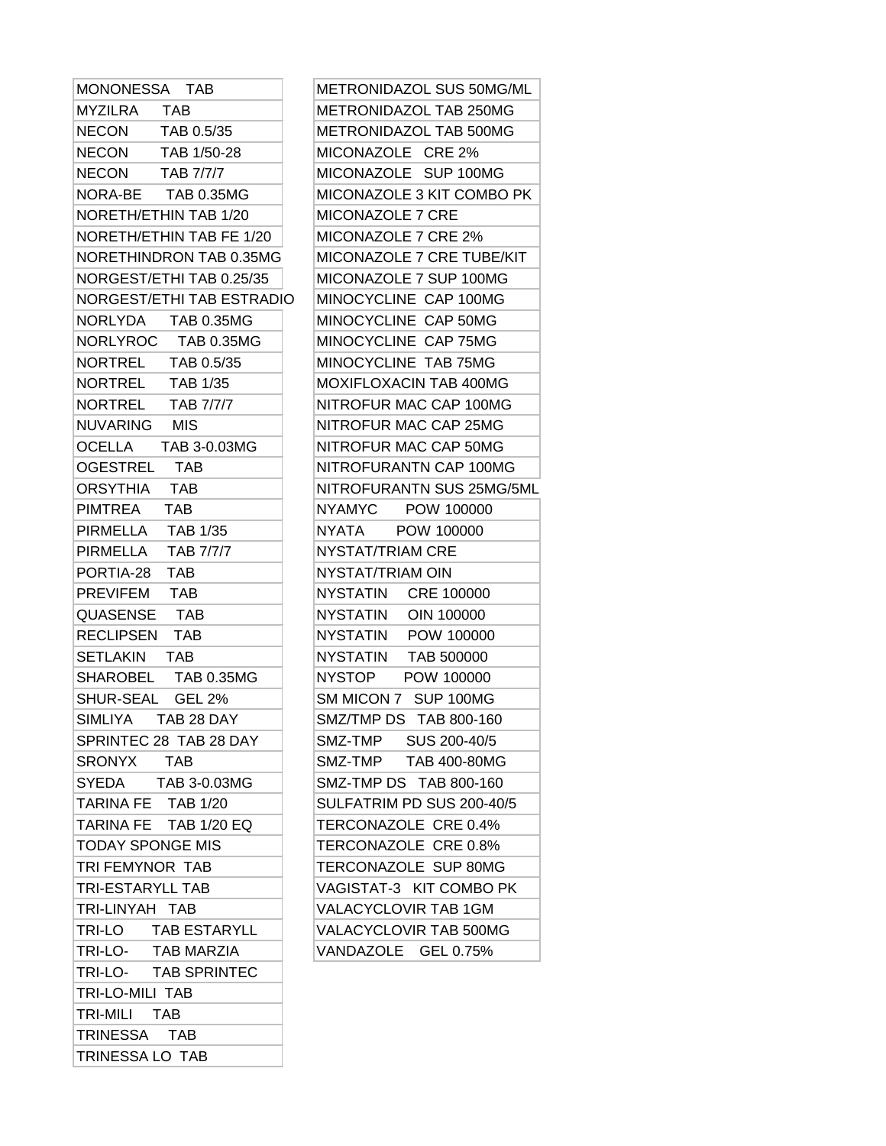| METRONIDAZOL SUS 50MG/ML                             |
|------------------------------------------------------|
| METRONIDAZOL TAB 250MG                               |
| METRONIDAZOL TAB 500MG                               |
| MICONAZOLE CRE 2%                                    |
| MICONAZOLE SUP 100MG                                 |
| MICONAZOLE 3 KIT COMBO PK                            |
| <b>MICONAZOLE 7 CRE</b>                              |
| MICONAZOLE 7 CRE 2%                                  |
| NORETHINDRON TAB 0.35MG<br>MICONAZOLE 7 CRE TUBE/KIT |
| MICONAZOLE 7 SUP 100MG                               |
| NORGEST/ETHI TAB ESTRADIO<br>MINOCYCLINE CAP 100MG   |
| MINOCYCLINE CAP 50MG                                 |
| MINOCYCLINE CAP 75MG                                 |
| MINOCYCLINE TAB 75MG                                 |
| MOXIFLOXACIN TAB 400MG                               |
| NITROFUR MAC CAP 100MG                               |
| NITROFUR MAC CAP 25MG                                |
| NITROFUR MAC CAP 50MG                                |
| NITROFURANTN CAP 100MG                               |
| NITROFURANTN SUS 25MG/5ML                            |
| NYAMYC POW 100000                                    |
| NYATA POW 100000                                     |
| NYSTAT/TRIAM CRE                                     |
| NYSTAT/TRIAM OIN                                     |
| NYSTATIN CRE 100000                                  |
| NYSTATIN OIN 100000                                  |
| NYSTATIN POW 100000                                  |
| NYSTATIN TAB 500000                                  |
| NYSTOP<br>POW 100000                                 |
| SM MICON 7 SUP 100MG                                 |
| SMZ/TMP DS TAB 800-160                               |
| SUS 200-40/5<br>SMZ-TMP                              |
| SMZ-TMP TAB 400-80MG                                 |
| SMZ-TMP DS TAB 800-160                               |
| SULFATRIM PD SUS 200-40/5                            |
| TERCONAZOLE CRE 0.4%                                 |
| TERCONAZOLE CRE 0.8%                                 |
| TERCONAZOLE SUP 80MG                                 |
| VAGISTAT-3 KIT COMBO PK                              |
| VALACYCLOVIR TAB 1GM                                 |
| VALACYCLOVIR TAB 500MG                               |
| VANDAZOLE GEL 0.75%                                  |
|                                                      |
|                                                      |
|                                                      |
|                                                      |
|                                                      |

TRINESSA LO TAB